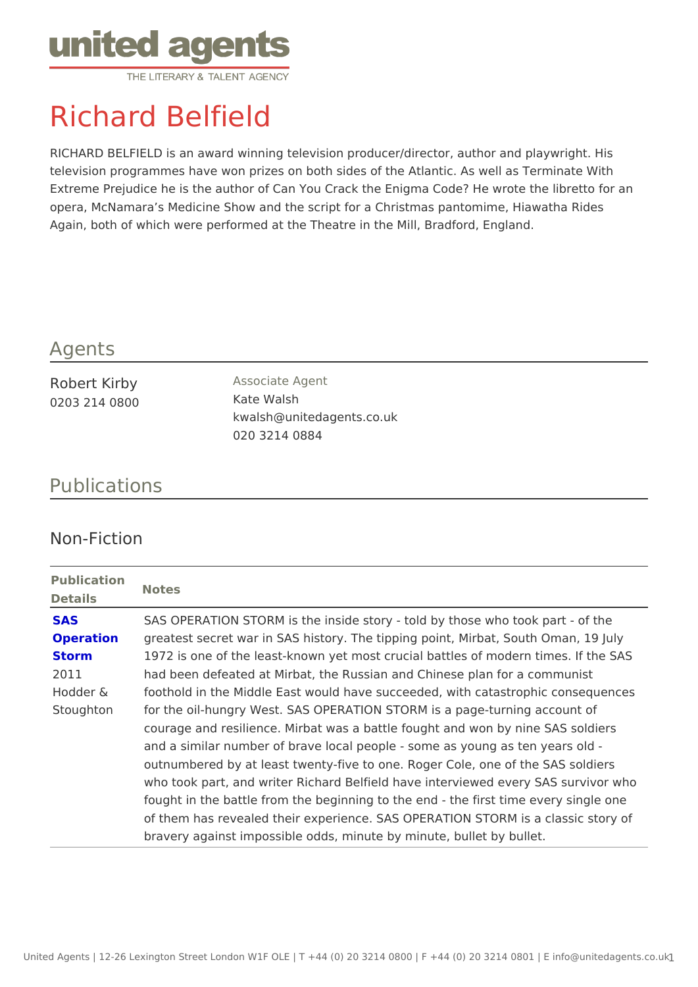## Richard Belfield

RICHARD BELFIELD is an award winning television producer/director, author television programmes have won prizes on both sides of the Atlantic. As well Extreme Prejudice he is the author of Can You Crack the Enigma Code? He w opera, McNamara s Medicine Show and the script for a Christmas pantomime, Again, both of which were performed at the Theatre in the Mill, Bradford, Eng

## Agents

| Robert Kirby  | Associate Agent           |
|---------------|---------------------------|
| 0203 214 0800 | Kate Walsh                |
|               | kwalsh@unitedagents.co.uk |
|               | 020 3214 0884             |

## Publications

## Non-Fiction

Publication Notes Details

| SAS       | SAS OPERATION STORM is the inside story - told by those who to             |
|-----------|----------------------------------------------------------------------------|
| Operation | greatest secret war in SAS history. The tipping point, Mirbat, Sou         |
| Storm     | 1972 is one of the least-known yet most crucial battles of modern          |
| 2011      | had been defeated at Mirbat, the Russian and Chinese plan for a o          |
|           | Hodder & foothold in the Middle East would have succeeded, with catastroph |
|           | Stoughton for the oil-hungry West. SAS OPERATION STORM is a page-turning   |
|           | courage and resilience. Mirbat was a battle fought and won by nin          |
|           | and a similar number of brave local people - some as young as ter          |
|           | outnumbered by at least twenty-five to one. Roger Cole, one of th          |
|           | who took part, and writer Richard Belfield have interviewed every          |
|           | fought in the battle from the beginning to the end - the first time        |
|           | of them has revealed their experience. SAS OPERATION STORM is              |
|           | bravery against impossible odds, minute by minute, bullet by bulle         |